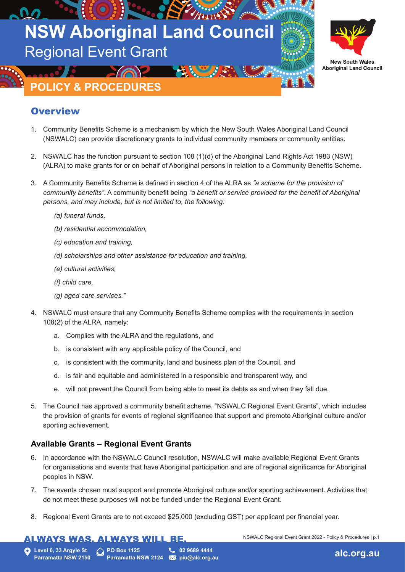



# **POLICY & PROCEDURES**

## **Overview**

- 1. Community Benefits Scheme is a mechanism by which the New South Wales Aboriginal Land Council (NSWALC) can provide discretionary grants to individual community members or community entities.
- 2. NSWALC has the function pursuant to section 108 (1)(d) of the Aboriginal Land Rights Act 1983 (NSW) (ALRA) to make grants for or on behalf of Aboriginal persons in relation to a Community Benefits Scheme.
- 3. A Community Benefits Scheme is defined in section 4 of the ALRA as *"a scheme for the provision of community benefits"*. A community benefit being *"a benefit or service provided for the benefit of Aboriginal persons, and may include, but is not limited to, the following:*
	- *(a) funeral funds,*
	- *(b) residential accommodation,*
	- *(c) education and training,*
	- *(d) scholarships and other assistance for education and training,*
	- *(e) cultural activities,*
	- *(f) child care,*
	- *(g) aged care services."*
- 4. NSWALC must ensure that any Community Benefits Scheme complies with the requirements in section 108(2) of the ALRA, namely:
	- a. Complies with the ALRA and the regulations, and
	- b. is consistent with any applicable policy of the Council, and
	- c. is consistent with the community, land and business plan of the Council, and
	- d. is fair and equitable and administered in a responsible and transparent way, and
	- e. will not prevent the Council from being able to meet its debts as and when they fall due.
- 5. The Council has approved a community benefit scheme, "NSWALC Regional Event Grants", which includes the provision of grants for events of regional significance that support and promote Aboriginal culture and/or sporting achievement.

## **Available Grants – Regional Event Grants**

- 6. In accordance with the NSWALC Council resolution, NSWALC will make available Regional Event Grants for organisations and events that have Aboriginal participation and are of regional significance for Aboriginal peoples in NSW.
- 7. The events chosen must support and promote Aboriginal culture and/or sporting achievement. Activities that do not meet these purposes will not be funded under the Regional Event Grant.
- 8. Regional Event Grants are to not exceed \$25,000 (excluding GST) per applicant per financial year.

## <u>ALWAYS WAS. ALWAYS WILL BE.</u>

NSWALC Regional Event Grant 2022 - Policy & Procedures | p.1

**Level 6, 33 Argyle St Parramatta NSW 2150** **PO Box 1125 Parramatta NSW 2124 Martial program** 

**02 9689 4444**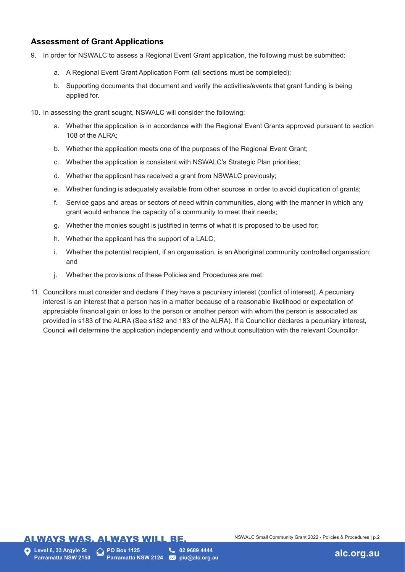## **Assessment of Grant Applications**

- 9. In order for NSWALC to assess a Regional Event Grant application, the following must be submitted:
	- a. A Regional Event Grant Application Form (all sections must be completed);
	- b. Supporting documents that document and verify the activities/events that grant funding is being applied for.
- 10. In assessing the grant sought, NSWALC will consider the following:
	- a. Whether the application is in accordance with the Regional Event Grants approved pursuant to section 108 of the ALRA;
	- b. Whether the application meets one of the purposes of the Regional Event Grant;
	- c. Whether the application is consistent with NSWALC's Strategic Plan priorities;
	- d. Whether the applicant has received a grant from NSWALC previously;
	- e. Whether funding is adequately available from other sources in order to avoid duplication of grants;
	- f. Service gaps and areas or sectors of need within communities, along with the manner in which any grant would enhance the capacity of a community to meet their needs;
	- g. Whether the monies sought is justified in terms of what it is proposed to be used for;
	- h. Whether the applicant has the support of a LALC;
	- i. Whether the potential recipient, if an organisation, is an Aboriginal community controlled organisation; and
	- j. Whether the provisions of these Policies and Procedures are met.
- 11. Councillors must consider and declare if they have a pecuniary interest (conflict of interest). A pecuniary interest is an interest that a person has in a matter because of a reasonable likelihood or expectation of appreciable financial gain or loss to the person or another person with whom the person is associated as provided in s183 of the ALRA (See s182 and 183 of the ALRA). If a Councillor declares a pecuniary interest, Council will determine the application independently and without consultation with the relevant Councillor.

## **ALWAYS WAS. ALWAYS WILL BE.**

**PO Box 1125**

**Parramatta NSW 2124 02 9689 4444**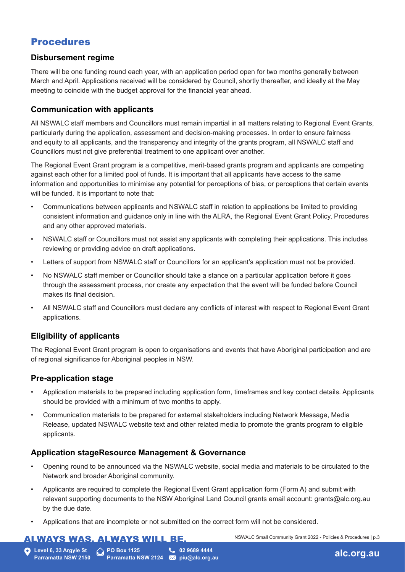## Procedures

#### **Disbursement regime**

There will be one funding round each year, with an application period open for two months generally between March and April. Applications received will be considered by Council, shortly thereafter, and ideally at the May meeting to coincide with the budget approval for the financial year ahead.

### **Communication with applicants**

All NSWALC staff members and Councillors must remain impartial in all matters relating to Regional Event Grants, particularly during the application, assessment and decision-making processes. In order to ensure fairness and equity to all applicants, and the transparency and integrity of the grants program, all NSWALC staff and Councillors must not give preferential treatment to one applicant over another.

The Regional Event Grant program is a competitive, merit-based grants program and applicants are competing against each other for a limited pool of funds. It is important that all applicants have access to the same information and opportunities to minimise any potential for perceptions of bias, or perceptions that certain events will be funded. It is important to note that:

- Communications between applicants and NSWALC staff in relation to applications be limited to providing consistent information and guidance only in line with the ALRA, the Regional Event Grant Policy, Procedures and any other approved materials.
- NSWALC staff or Councillors must not assist any applicants with completing their applications. This includes reviewing or providing advice on draft applications.
- Letters of support from NSWALC staff or Councillors for an applicant's application must not be provided.
- No NSWALC staff member or Councillor should take a stance on a particular application before it goes through the assessment process, nor create any expectation that the event will be funded before Council makes its final decision.
- All NSWALC staff and Councillors must declare any conflicts of interest with respect to Regional Event Grant applications.

## **Eligibility of applicants**

The Regional Event Grant program is open to organisations and events that have Aboriginal participation and are of regional significance for Aboriginal peoples in NSW.

## **Pre-application stage**

- Application materials to be prepared including application form, timeframes and key contact details. Applicants should be provided with a minimum of two months to apply.
- Communication materials to be prepared for external stakeholders including Network Message, Media Release, updated NSWALC website text and other related media to promote the grants program to eligible applicants.

### **Application stageResource Management & Governance**

- Opening round to be announced via the NSWALC website, social media and materials to be circulated to the Network and broader Aboriginal community.
- Applicants are required to complete the Regional Event Grant application form (Form A) and submit with relevant supporting documents to the NSW Aboriginal Land Council grants email account: grants@alc.org.au by the due date.
- Applications that are incomplete or not submitted on the correct form will not be considered.

## **ALWAYS WAS. ALWAYS WILL BE.**

**Level 6, 33 Argyle St Parramatta NSW 2150** **PO Box 1125 Parramatta NSW 2124 X piu@alc.org.au** 

**02 9689 4444**



NSWALC Small Community Grant 2022 - Policies & Procedures | p.3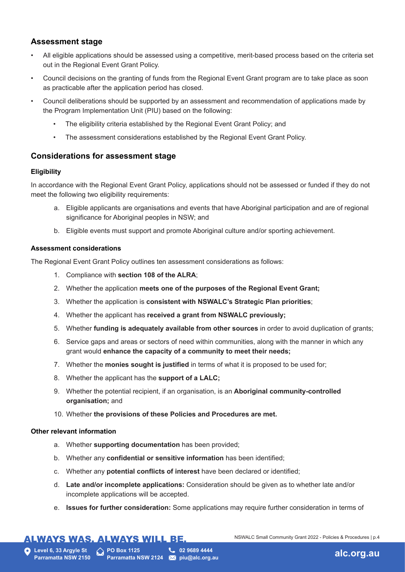## **Assessment stage**

- All eligible applications should be assessed using a competitive, merit-based process based on the criteria set out in the Regional Event Grant Policy.
- Council decisions on the granting of funds from the Regional Event Grant program are to take place as soon as practicable after the application period has closed.
- Council deliberations should be supported by an assessment and recommendation of applications made by the Program Implementation Unit (PIU) based on the following:
	- The eligibility criteria established by the Regional Event Grant Policy; and
	- The assessment considerations established by the Regional Event Grant Policy.

### **Considerations for assessment stage**

#### **Eligibility**

In accordance with the Regional Event Grant Policy, applications should not be assessed or funded if they do not meet the following two eligibility requirements:

- a. Eligible applicants are organisations and events that have Aboriginal participation and are of regional significance for Aboriginal peoples in NSW; and
- b. Eligible events must support and promote Aboriginal culture and/or sporting achievement.

#### **Assessment considerations**

The Regional Event Grant Policy outlines ten assessment considerations as follows:

- 1. Compliance with **section 108 of the ALRA**;
- 2. Whether the application **meets one of the purposes of the Regional Event Grant;**
- 3. Whether the application is **consistent with NSWALC's Strategic Plan priorities**;
- 4. Whether the applicant has **received a grant from NSWALC previously;**
- 5. Whether **funding is adequately available from other sources** in order to avoid duplication of grants;
- 6. Service gaps and areas or sectors of need within communities, along with the manner in which any grant would **enhance the capacity of a community to meet their needs;**
- 7. Whether the **monies sought is justified** in terms of what it is proposed to be used for;
- 8. Whether the applicant has the **support of a LALC;**
- 9. Whether the potential recipient, if an organisation, is an **Aboriginal community-controlled organisation;** and
- 10. Whether **the provisions of these Policies and Procedures are met.**

#### **Other relevant information**

- a. Whether **supporting documentation** has been provided;
- b. Whether any **confidential or sensitive information** has been identified;
- c. Whether any **potential conflicts of interest** have been declared or identified;
- d. **Late and/or incomplete applications:** Consideration should be given as to whether late and/or incomplete applications will be accepted.
- e. **Issues for further consideration:** Some applications may require further consideration in terms of

## **ALWAYS WAS. ALWAYS WILL BE.**

NSWALC Small Community Grant 2022 - Policies & Procedures | p.4

**Level 6, 33 Argyle St Parramatta NSW 2150** **PO Box 1125**

**Parramatta NSW 2124 X piu@alc.org.au 02 9689 4444**

**piu@alc.org.au alc.org.au**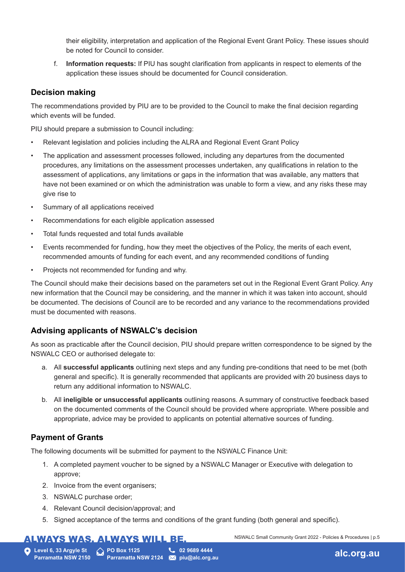their eligibility, interpretation and application of the Regional Event Grant Policy. These issues should be noted for Council to consider.

f. **Information requests:** If PIU has sought clarification from applicants in respect to elements of the application these issues should be documented for Council consideration.

### **Decision making**

The recommendations provided by PIU are to be provided to the Council to make the final decision regarding which events will be funded.

PIU should prepare a submission to Council including:

- Relevant legislation and policies including the ALRA and Regional Event Grant Policy
- The application and assessment processes followed, including any departures from the documented procedures, any limitations on the assessment processes undertaken, any qualifications in relation to the assessment of applications, any limitations or gaps in the information that was available, any matters that have not been examined or on which the administration was unable to form a view, and any risks these may give rise to
- Summary of all applications received
- Recommendations for each eligible application assessed
- Total funds requested and total funds available
- Events recommended for funding, how they meet the objectives of the Policy, the merits of each event, recommended amounts of funding for each event, and any recommended conditions of funding
- Projects not recommended for funding and why.

The Council should make their decisions based on the parameters set out in the Regional Event Grant Policy. Any new information that the Council may be considering, and the manner in which it was taken into account, should be documented. The decisions of Council are to be recorded and any variance to the recommendations provided must be documented with reasons.

### **Advising applicants of NSWALC's decision**

As soon as practicable after the Council decision, PIU should prepare written correspondence to be signed by the NSWALC CEO or authorised delegate to:

- a. All **successful applicants** outlining next steps and any funding pre-conditions that need to be met (both general and specific). It is generally recommended that applicants are provided with 20 business days to return any additional information to NSWALC.
- b. All **ineligible or unsuccessful applicants** outlining reasons. A summary of constructive feedback based on the documented comments of the Council should be provided where appropriate. Where possible and appropriate, advice may be provided to applicants on potential alternative sources of funding.

## **Payment of Grants**

The following documents will be submitted for payment to the NSWALC Finance Unit:

- 1. A completed payment voucher to be signed by a NSWALC Manager or Executive with delegation to approve;
- 2. Invoice from the event organisers;
- 3. NSWALC purchase order;
- 4. Relevant Council decision/approval; and
- 5. Signed acceptance of the terms and conditions of the grant funding (both general and specific).

## **ALWAYS WAS. ALWAYS WILL BE.**

**Level 6, 33 Argyle St Parramatta NSW 2150** **PO Box 1125**

**02 9689 4444**

**Parramatta NSW 2124 X piu@alc.org.au** 

NSWALC Small Community Grant 2022 - Policies & Procedures | p.5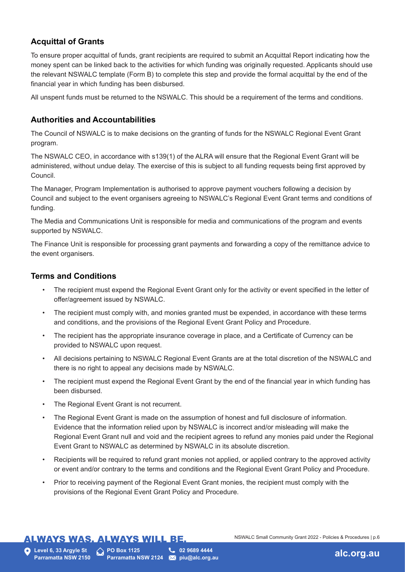## **Acquittal of Grants**

To ensure proper acquittal of funds, grant recipients are required to submit an Acquittal Report indicating how the money spent can be linked back to the activities for which funding was originally requested. Applicants should use the relevant NSWALC template (Form B) to complete this step and provide the formal acquittal by the end of the financial year in which funding has been disbursed.

All unspent funds must be returned to the NSWALC. This should be a requirement of the terms and conditions.

### **Authorities and Accountabilities**

The Council of NSWALC is to make decisions on the granting of funds for the NSWALC Regional Event Grant program.

The NSWALC CEO, in accordance with s139(1) of the ALRA will ensure that the Regional Event Grant will be administered, without undue delay. The exercise of this is subject to all funding requests being first approved by Council.

The Manager, Program Implementation is authorised to approve payment vouchers following a decision by Council and subject to the event organisers agreeing to NSWALC's Regional Event Grant terms and conditions of funding.

The Media and Communications Unit is responsible for media and communications of the program and events supported by NSWALC.

The Finance Unit is responsible for processing grant payments and forwarding a copy of the remittance advice to the event organisers.

### **Terms and Conditions**

- The recipient must expend the Regional Event Grant only for the activity or event specified in the letter of offer/agreement issued by NSWALC.
- The recipient must comply with, and monies granted must be expended, in accordance with these terms and conditions, and the provisions of the Regional Event Grant Policy and Procedure.
- The recipient has the appropriate insurance coverage in place, and a Certificate of Currency can be provided to NSWALC upon request.
- All decisions pertaining to NSWALC Regional Event Grants are at the total discretion of the NSWALC and there is no right to appeal any decisions made by NSWALC.
- The recipient must expend the Regional Event Grant by the end of the financial year in which funding has been disbursed.
- The Regional Event Grant is not recurrent.
- The Regional Event Grant is made on the assumption of honest and full disclosure of information. Evidence that the information relied upon by NSWALC is incorrect and/or misleading will make the Regional Event Grant null and void and the recipient agrees to refund any monies paid under the Regional Event Grant to NSWALC as determined by NSWALC in its absolute discretion.
- Recipients will be required to refund grant monies not applied, or applied contrary to the approved activity or event and/or contrary to the terms and conditions and the Regional Event Grant Policy and Procedure.
- Prior to receiving payment of the Regional Event Grant monies, the recipient must comply with the provisions of the Regional Event Grant Policy and Procedure.

## **ALWAYS WAS. ALWAYS WILL BE.**

NSWALC Small Community Grant 2022 - Policies & Procedures | p.6

**Level 6, 33 Argyle St Parramatta NSW 2150** **PO Box 1125** 

**Parramatta NSW 2124 X piu@alc.org.au 02 9689 4444**